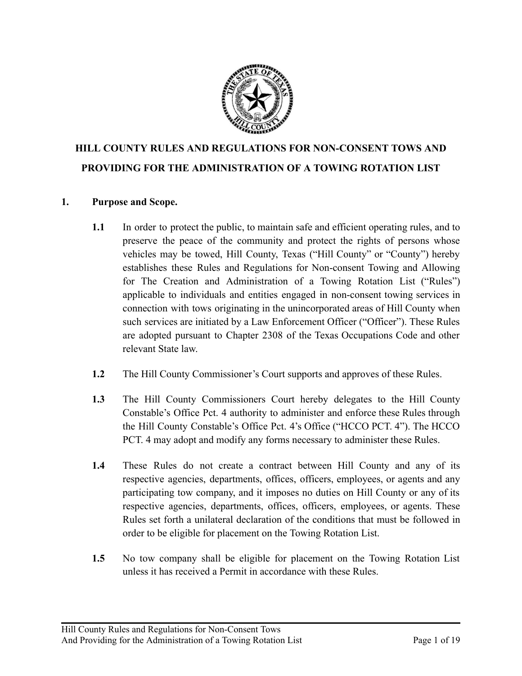

# **HILL COUNTY RULES AND REGULATIONS FOR NON-CONSENT TOWS AND PROVIDING FOR THE ADMINISTRATION OF A TOWING ROTATION LIST**

## **1. Purpose and Scope.**

- **1.1** In order to protect the public, to maintain safe and efficient operating rules, and to preserve the peace of the community and protect the rights of persons whose vehicles may be towed, Hill County, Texas ("Hill County" or "County") hereby establishes these Rules and Regulations for Non-consent Towing and Allowing for The Creation and Administration of a Towing Rotation List ("Rules") applicable to individuals and entities engaged in non-consent towing services in connection with tows originating in the unincorporated areas of Hill County when such services are initiated by a Law Enforcement Officer ("Officer"). These Rules are adopted pursuant to Chapter 2308 of the Texas Occupations Code and other relevant State law.
- **1.2** The Hill County Commissioner's Court supports and approves of these Rules.
- **1.3** The Hill County Commissioners Court hereby delegates to the Hill County Constable's Office Pct. 4 authority to administer and enforce these Rules through the Hill County Constable's Office Pct. 4's Office ("HCCO PCT. 4"). The HCCO PCT. 4 may adopt and modify any forms necessary to administer these Rules.
- **1.4** These Rules do not create a contract between Hill County and any of its respective agencies, departments, offices, officers, employees, or agents and any participating tow company, and it imposes no duties on Hill County or any of its respective agencies, departments, offices, officers, employees, or agents. These Rules set forth a unilateral declaration of the conditions that must be followed in order to be eligible for placement on the Towing Rotation List.
- **1.5** No tow company shall be eligible for placement on the Towing Rotation List unless it has received a Permit in accordance with these Rules.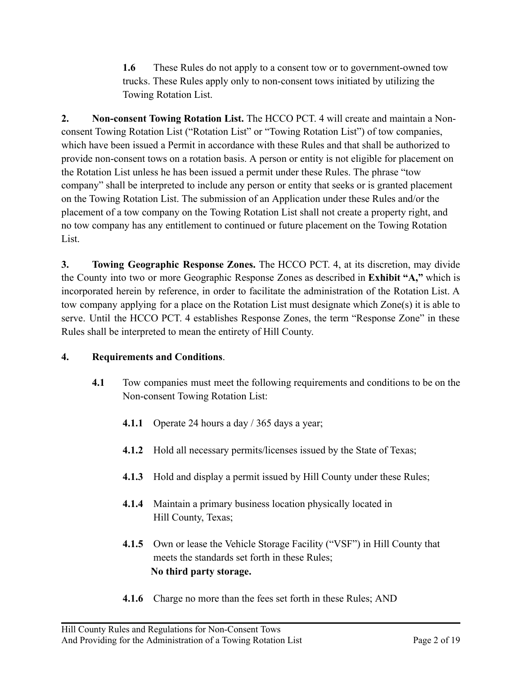**1.6** These Rules do not apply to a consent tow or to government-owned tow trucks. These Rules apply only to non-consent tows initiated by utilizing the Towing Rotation List.

**2. Non-consent Towing Rotation List.** The HCCO PCT. 4 will create and maintain a Nonconsent Towing Rotation List ("Rotation List" or "Towing Rotation List") of tow companies, which have been issued a Permit in accordance with these Rules and that shall be authorized to provide non-consent tows on a rotation basis. A person or entity is not eligible for placement on the Rotation List unless he has been issued a permit under these Rules. The phrase "tow company" shall be interpreted to include any person or entity that seeks or is granted placement on the Towing Rotation List. The submission of an Application under these Rules and/or the placement of a tow company on the Towing Rotation List shall not create a property right, and no tow company has any entitlement to continued or future placement on the Towing Rotation List.

**3. Towing Geographic Response Zones.** The HCCO PCT. 4, at its discretion, may divide the County into two or more Geographic Response Zones as described in **Exhibit "A,"** which is incorporated herein by reference, in order to facilitate the administration of the Rotation List. A tow company applying for a place on the Rotation List must designate which Zone(s) it is able to serve. Until the HCCO PCT. 4 establishes Response Zones, the term "Response Zone" in these Rules shall be interpreted to mean the entirety of Hill County.

## **4. Requirements and Conditions**.

- **4.1** Tow companies must meet the following requirements and conditions to be on the Non-consent Towing Rotation List:
	- **4.1.1** Operate 24 hours a day / 365 days a year;
	- **4.1.2** Hold all necessary permits/licenses issued by the State of Texas;
	- **4.1.3** Hold and display a permit issued by Hill County under these Rules;
	- **4.1.4** Maintain a primary business location physically located in Hill County, Texas;
	- **4.1.5** Own or lease the Vehicle Storage Facility ("VSF") in Hill County that meets the standards set forth in these Rules; **No third party storage.**
	- **4.1.6** Charge no more than the fees set forth in these Rules; AND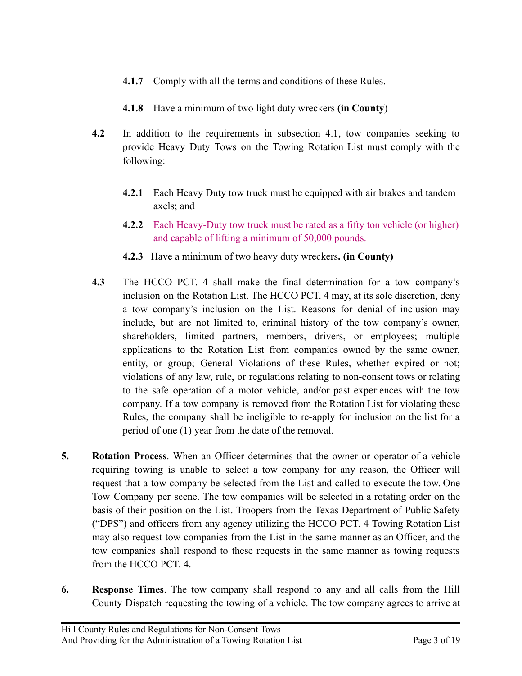- **4.1.7** Comply with all the terms and conditions of these Rules.
- **4.1.8** Have a minimum of two light duty wreckers **(in County**)
- **4.2** In addition to the requirements in subsection 4.1, tow companies seeking to provide Heavy Duty Tows on the Towing Rotation List must comply with the following:
	- **4.2.1** Each Heavy Duty tow truck must be equipped with air brakes and tandem axels; and
	- **4.2.2** Each Heavy-Duty tow truck must be rated as a fifty ton vehicle (or higher) and capable of lifting a minimum of 50,000 pounds.
	- **4.2.3** Have a minimum of two heavy duty wreckers**. (in County)**
- **4.3** The HCCO PCT. 4 shall make the final determination for a tow company's inclusion on the Rotation List. The HCCO PCT. 4 may, at its sole discretion, deny a tow company's inclusion on the List. Reasons for denial of inclusion may include, but are not limited to, criminal history of the tow company's owner, shareholders, limited partners, members, drivers, or employees; multiple applications to the Rotation List from companies owned by the same owner, entity, or group; General Violations of these Rules, whether expired or not; violations of any law, rule, or regulations relating to non-consent tows or relating to the safe operation of a motor vehicle, and/or past experiences with the tow company. If a tow company is removed from the Rotation List for violating these Rules, the company shall be ineligible to re-apply for inclusion on the list for a period of one (1) year from the date of the removal.
- **5. Rotation Process**. When an Officer determines that the owner or operator of a vehicle requiring towing is unable to select a tow company for any reason, the Officer will request that a tow company be selected from the List and called to execute the tow. One Tow Company per scene. The tow companies will be selected in a rotating order on the basis of their position on the List. Troopers from the Texas Department of Public Safety ("DPS") and officers from any agency utilizing the HCCO PCT. 4 Towing Rotation List may also request tow companies from the List in the same manner as an Officer, and the tow companies shall respond to these requests in the same manner as towing requests from the HCCO PCT. 4.
- **6. Response Times**. The tow company shall respond to any and all calls from the Hill County Dispatch requesting the towing of a vehicle. The tow company agrees to arrive at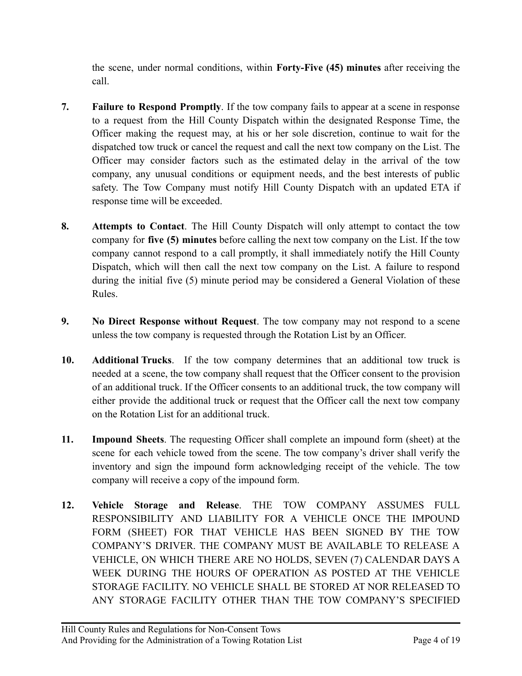the scene, under normal conditions, within **Forty-Five (45) minutes** after receiving the call.

- **7. Failure to Respond Promptly**. If the tow company fails to appear at a scene in response to a request from the Hill County Dispatch within the designated Response Time, the Officer making the request may, at his or her sole discretion, continue to wait for the dispatched tow truck or cancel the request and call the next tow company on the List. The Officer may consider factors such as the estimated delay in the arrival of the tow company, any unusual conditions or equipment needs, and the best interests of public safety. The Tow Company must notify Hill County Dispatch with an updated ETA if response time will be exceeded.
- **8. Attempts to Contact**. The Hill County Dispatch will only attempt to contact the tow company for **five (5) minutes** before calling the next tow company on the List. If the tow company cannot respond to a call promptly, it shall immediately notify the Hill County Dispatch, which will then call the next tow company on the List. A failure to respond during the initial five (5) minute period may be considered a General Violation of these Rules.
- **9. No Direct Response without Request**. The tow company may not respond to a scene unless the tow company is requested through the Rotation List by an Officer.
- **10. Additional Trucks**. If the tow company determines that an additional tow truck is needed at a scene, the tow company shall request that the Officer consent to the provision of an additional truck. If the Officer consents to an additional truck, the tow company will either provide the additional truck or request that the Officer call the next tow company on the Rotation List for an additional truck.
- **11. Impound Sheets**. The requesting Officer shall complete an impound form (sheet) at the scene for each vehicle towed from the scene. The tow company's driver shall verify the inventory and sign the impound form acknowledging receipt of the vehicle. The tow company will receive a copy of the impound form.
- **12. Vehicle Storage and Release**. THE TOW COMPANY ASSUMES FULL RESPONSIBILITY AND LIABILITY FOR A VEHICLE ONCE THE IMPOUND FORM (SHEET) FOR THAT VEHICLE HAS BEEN SIGNED BY THE TOW COMPANY'S DRIVER. THE COMPANY MUST BE AVAILABLE TO RELEASE A VEHICLE, ON WHICH THERE ARE NO HOLDS, SEVEN (7) CALENDAR DAYS A WEEK DURING THE HOURS OF OPERATION AS POSTED AT THE VEHICLE STORAGE FACILITY. NO VEHICLE SHALL BE STORED AT NOR RELEASED TO ANY STORAGE FACILITY OTHER THAN THE TOW COMPANY'S SPECIFIED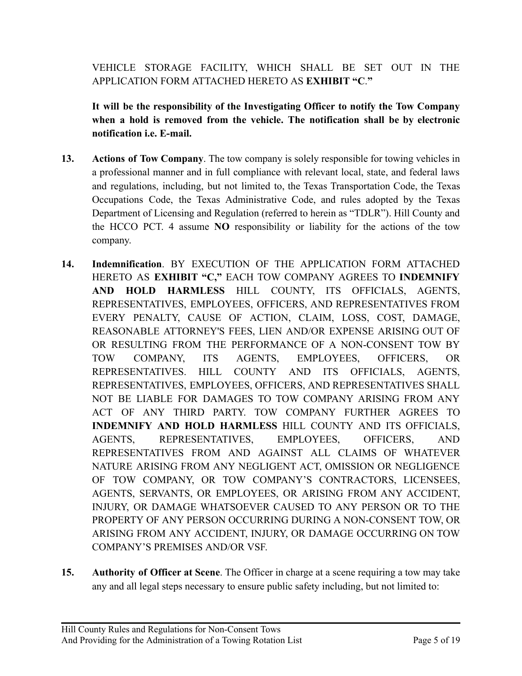VEHICLE STORAGE FACILITY, WHICH SHALL BE SET OUT IN THE APPLICATION FORM ATTACHED HERETO AS **EXHIBIT "C**.**"**

**It will be the responsibility of the Investigating Officer to notify the Tow Company when a hold is removed from the vehicle. The notification shall be by electronic notification i.e. E-mail.**

- **13. Actions of Tow Company**. The tow company is solely responsible for towing vehicles in a professional manner and in full compliance with relevant local, state, and federal laws and regulations, including, but not limited to, the Texas Transportation Code, the Texas Occupations Code, the Texas Administrative Code, and rules adopted by the Texas Department of Licensing and Regulation (referred to herein as "TDLR"). Hill County and the HCCO PCT. 4 assume **NO** responsibility or liability for the actions of the tow company.
- **14. Indemnification**. BY EXECUTION OF THE APPLICATION FORM ATTACHED HERETO AS **EXHIBIT "C,"** EACH TOW COMPANY AGREES TO **INDEMNIFY AND HOLD HARMLESS** HILL COUNTY, ITS OFFICIALS, AGENTS, REPRESENTATIVES, EMPLOYEES, OFFICERS, AND REPRESENTATIVES FROM EVERY PENALTY, CAUSE OF ACTION, CLAIM, LOSS, COST, DAMAGE, REASONABLE ATTORNEY'S FEES, LIEN AND/OR EXPENSE ARISING OUT OF OR RESULTING FROM THE PERFORMANCE OF A NON-CONSENT TOW BY TOW COMPANY, ITS AGENTS, EMPLOYEES, OFFICERS, OR REPRESENTATIVES. HILL COUNTY AND ITS OFFICIALS, AGENTS, REPRESENTATIVES, EMPLOYEES, OFFICERS, AND REPRESENTATIVES SHALL NOT BE LIABLE FOR DAMAGES TO TOW COMPANY ARISING FROM ANY ACT OF ANY THIRD PARTY. TOW COMPANY FURTHER AGREES TO **INDEMNIFY AND HOLD HARMLESS** HILL COUNTY AND ITS OFFICIALS, AGENTS, REPRESENTATIVES, EMPLOYEES, OFFICERS, AND REPRESENTATIVES FROM AND AGAINST ALL CLAIMS OF WHATEVER NATURE ARISING FROM ANY NEGLIGENT ACT, OMISSION OR NEGLIGENCE OF TOW COMPANY, OR TOW COMPANY'S CONTRACTORS, LICENSEES, AGENTS, SERVANTS, OR EMPLOYEES, OR ARISING FROM ANY ACCIDENT, INJURY, OR DAMAGE WHATSOEVER CAUSED TO ANY PERSON OR TO THE PROPERTY OF ANY PERSON OCCURRING DURING A NON-CONSENT TOW, OR ARISING FROM ANY ACCIDENT, INJURY, OR DAMAGE OCCURRING ON TOW COMPANY'S PREMISES AND/OR VSF.
- **15. Authority of Officer at Scene**. The Officer in charge at a scene requiring a tow may take any and all legal steps necessary to ensure public safety including, but not limited to: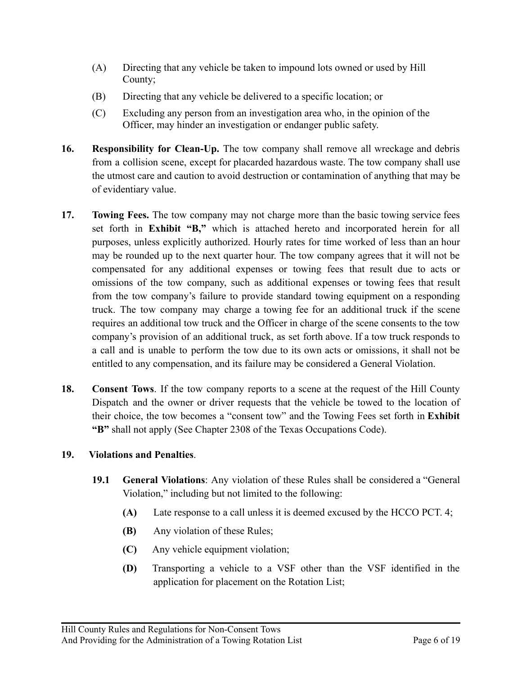- (A) Directing that any vehicle be taken to impound lots owned or used by Hill County;
- (B) Directing that any vehicle be delivered to a specific location; or
- (C) Excluding any person from an investigation area who, in the opinion of the Officer, may hinder an investigation or endanger public safety.
- **16. Responsibility for Clean-Up.** The tow company shall remove all wreckage and debris from a collision scene, except for placarded hazardous waste. The tow company shall use the utmost care and caution to avoid destruction or contamination of anything that may be of evidentiary value.
- **17. Towing Fees.** The tow company may not charge more than the basic towing service fees set forth in **Exhibit "B,"** which is attached hereto and incorporated herein for all purposes, unless explicitly authorized. Hourly rates for time worked of less than an hour may be rounded up to the next quarter hour. The tow company agrees that it will not be compensated for any additional expenses or towing fees that result due to acts or omissions of the tow company, such as additional expenses or towing fees that result from the tow company's failure to provide standard towing equipment on a responding truck. The tow company may charge a towing fee for an additional truck if the scene requires an additional tow truck and the Officer in charge of the scene consents to the tow company's provision of an additional truck, as set forth above. If a tow truck responds to a call and is unable to perform the tow due to its own acts or omissions, it shall not be entitled to any compensation, and its failure may be considered a General Violation.
- **18. Consent Tows**. If the tow company reports to a scene at the request of the Hill County Dispatch and the owner or driver requests that the vehicle be towed to the location of their choice, the tow becomes a "consent tow" and the Towing Fees set forth in **Exhibit "B"** shall not apply (See Chapter 2308 of the Texas Occupations Code).

## **19. Violations and Penalties**.

- **19.1 General Violations**: Any violation of these Rules shall be considered a "General Violation," including but not limited to the following:
	- **(A)** Late response to a call unless it is deemed excused by the HCCO PCT. 4;
	- **(B)** Any violation of these Rules;
	- **(C)** Any vehicle equipment violation;
	- **(D)** Transporting a vehicle to a VSF other than the VSF identified in the application for placement on the Rotation List;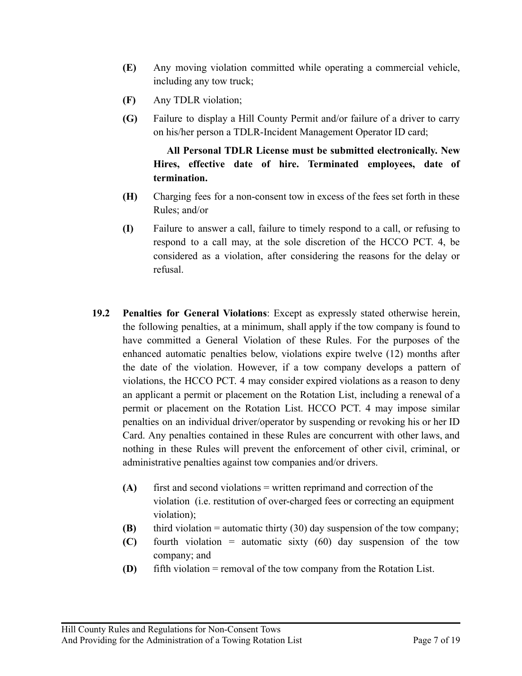- **(E)** Any moving violation committed while operating a commercial vehicle, including any tow truck;
- **(F)** Any TDLR violation;
- **(G)** Failure to display a Hill County Permit and/or failure of a driver to carry on his/her person a TDLR-Incident Management Operator ID card;

## **All Personal TDLR License must be submitted electronically. New Hires, effective date of hire. Terminated employees, date of termination.**

- **(H)** Charging fees for a non-consent tow in excess of the fees set forth in these Rules; and/or
- **(I)** Failure to answer a call, failure to timely respond to a call, or refusing to respond to a call may, at the sole discretion of the HCCO PCT. 4, be considered as a violation, after considering the reasons for the delay or refusal.
- **19.2 Penalties for General Violations**: Except as expressly stated otherwise herein, the following penalties, at a minimum, shall apply if the tow company is found to have committed a General Violation of these Rules. For the purposes of the enhanced automatic penalties below, violations expire twelve (12) months after the date of the violation. However, if a tow company develops a pattern of violations, the HCCO PCT. 4 may consider expired violations as a reason to deny an applicant a permit or placement on the Rotation List, including a renewal of a permit or placement on the Rotation List. HCCO PCT. 4 may impose similar penalties on an individual driver/operator by suspending or revoking his or her ID Card. Any penalties contained in these Rules are concurrent with other laws, and nothing in these Rules will prevent the enforcement of other civil, criminal, or administrative penalties against tow companies and/or drivers.
	- **(A)** first and second violations = written reprimand and correction of the violation (i.e. restitution of over-charged fees or correcting an equipment violation);
	- **(B)** third violation = automatic thirty (30) day suspension of the tow company;
	- **(C)** fourth violation = automatic sixty (60) day suspension of the tow company; and
	- **(D)** fifth violation = removal of the tow company from the Rotation List.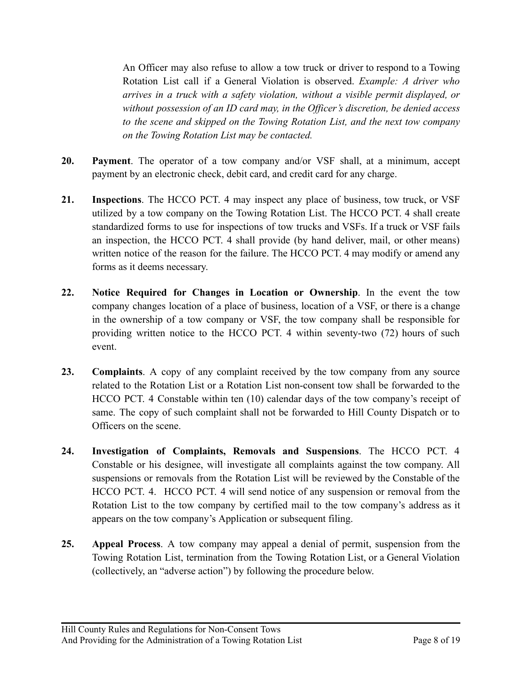An Officer may also refuse to allow a tow truck or driver to respond to a Towing Rotation List call if a General Violation is observed. *Example: A driver who arrives in a truck with a safety violation, without a visible permit displayed, or without possession of an ID card may, in the Officer's discretion, be denied access to the scene and skipped on the Towing Rotation List, and the next tow company on the Towing Rotation List may be contacted.*

- **20. Payment**. The operator of a tow company and/or VSF shall, at a minimum, accept payment by an electronic check, debit card, and credit card for any charge.
- **21. Inspections**. The HCCO PCT. 4 may inspect any place of business, tow truck, or VSF utilized by a tow company on the Towing Rotation List. The HCCO PCT. 4 shall create standardized forms to use for inspections of tow trucks and VSFs. If a truck or VSF fails an inspection, the HCCO PCT. 4 shall provide (by hand deliver, mail, or other means) written notice of the reason for the failure. The HCCO PCT. 4 may modify or amend any forms as it deems necessary.
- **22. Notice Required for Changes in Location or Ownership**. In the event the tow company changes location of a place of business, location of a VSF, or there is a change in the ownership of a tow company or VSF, the tow company shall be responsible for providing written notice to the HCCO PCT. 4 within seventy-two (72) hours of such event.
- **23. Complaints**. A copy of any complaint received by the tow company from any source related to the Rotation List or a Rotation List non-consent tow shall be forwarded to the HCCO PCT. 4 Constable within ten (10) calendar days of the tow company's receipt of same. The copy of such complaint shall not be forwarded to Hill County Dispatch or to Officers on the scene.
- **24. Investigation of Complaints, Removals and Suspensions**. The HCCO PCT. 4 Constable or his designee, will investigate all complaints against the tow company. All suspensions or removals from the Rotation List will be reviewed by the Constable of the HCCO PCT. 4. HCCO PCT. 4 will send notice of any suspension or removal from the Rotation List to the tow company by certified mail to the tow company's address as it appears on the tow company's Application or subsequent filing.
- **25. Appeal Process**. A tow company may appeal a denial of permit, suspension from the Towing Rotation List, termination from the Towing Rotation List, or a General Violation (collectively, an "adverse action") by following the procedure below.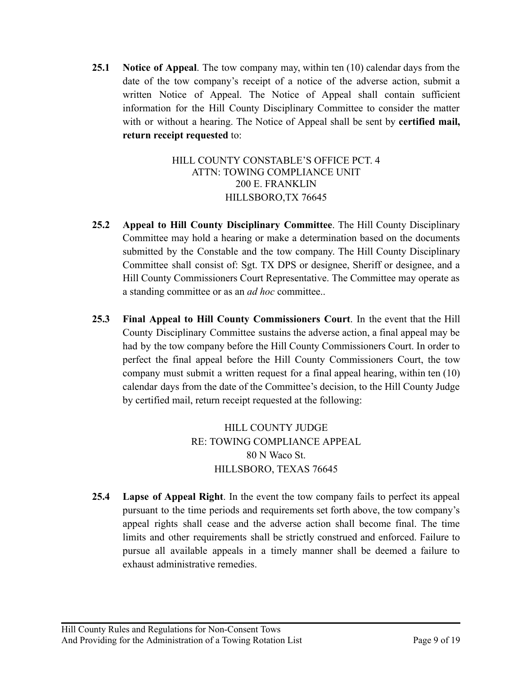**25.1 Notice of Appeal**. The tow company may, within ten (10) calendar days from the date of the tow company's receipt of a notice of the adverse action, submit a written Notice of Appeal. The Notice of Appeal shall contain sufficient information for the Hill County Disciplinary Committee to consider the matter with or without a hearing. The Notice of Appeal shall be sent by **certified mail, return receipt requested** to:

## HILL COUNTY CONSTABLE'S OFFICE PCT. 4 ATTN: TOWING COMPLIANCE UNIT 200 E. FRANKLIN HILLSBORO,TX 76645

- **25.2 Appeal to Hill County Disciplinary Committee**. The Hill County Disciplinary Committee may hold a hearing or make a determination based on the documents submitted by the Constable and the tow company. The Hill County Disciplinary Committee shall consist of: Sgt. TX DPS or designee, Sheriff or designee, and a Hill County Commissioners Court Representative. The Committee may operate as a standing committee or as an *ad hoc* committee..
- **25.3 Final Appeal to Hill County Commissioners Court**. In the event that the Hill County Disciplinary Committee sustains the adverse action, a final appeal may be had by the tow company before the Hill County Commissioners Court. In order to perfect the final appeal before the Hill County Commissioners Court, the tow company must submit a written request for a final appeal hearing, within ten (10) calendar days from the date of the Committee's decision, to the Hill County Judge by certified mail, return receipt requested at the following:

HILL COUNTY JUDGE RE: TOWING COMPLIANCE APPEAL 80 N Waco St. HILLSBORO, TEXAS 76645

**25.4 Lapse of Appeal Right**. In the event the tow company fails to perfect its appeal pursuant to the time periods and requirements set forth above, the tow company's appeal rights shall cease and the adverse action shall become final. The time limits and other requirements shall be strictly construed and enforced. Failure to pursue all available appeals in a timely manner shall be deemed a failure to exhaust administrative remedies.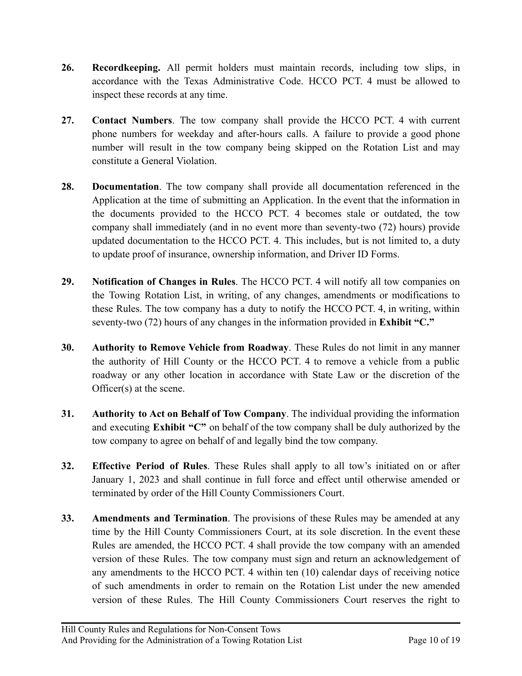- **26. Recordkeeping.** All permit holders must maintain records, including tow slips, in accordance with the Texas Administrative Code. HCCO PCT. 4 must be allowed to inspect these records at any time.
- **27. Contact Numbers**. The tow company shall provide the HCCO PCT. 4 with current phone numbers for weekday and after-hours calls. A failure to provide a good phone number will result in the tow company being skipped on the Rotation List and may constitute a General Violation.
- **28. Documentation**. The tow company shall provide all documentation referenced in the Application at the time of submitting an Application. In the event that the information in the documents provided to the HCCO PCT. 4 becomes stale or outdated, the tow company shall immediately (and in no event more than seventy-two (72) hours) provide updated documentation to the HCCO PCT. 4. This includes, but is not limited to, a duty to update proof of insurance, ownership information, and Driver ID Forms.
- **29. Notification of Changes in Rules**. The HCCO PCT. 4 will notify all tow companies on the Towing Rotation List, in writing, of any changes, amendments or modifications to these Rules. The tow company has a duty to notify the HCCO PCT. 4, in writing, within seventy-two (72) hours of any changes in the information provided in **Exhibit "C."**
- **30. Authority to Remove Vehicle from Roadway**. These Rules do not limit in any manner the authority of Hill County or the HCCO PCT. 4 to remove a vehicle from a public roadway or any other location in accordance with State Law or the discretion of the Officer(s) at the scene.
- **31. Authority to Act on Behalf of Tow Company**. The individual providing the information and executing **Exhibit "C"** on behalf of the tow company shall be duly authorized by the tow company to agree on behalf of and legally bind the tow company.
- **32. Effective Period of Rules**. These Rules shall apply to all tow's initiated on or after January 1, 2023 and shall continue in full force and effect until otherwise amended or terminated by order of the Hill County Commissioners Court.
- **33. Amendments and Termination**. The provisions of these Rules may be amended at any time by the Hill County Commissioners Court, at its sole discretion. In the event these Rules are amended, the HCCO PCT. 4 shall provide the tow company with an amended version of these Rules. The tow company must sign and return an acknowledgement of any amendments to the HCCO PCT. 4 within ten (10) calendar days of receiving notice of such amendments in order to remain on the Rotation List under the new amended version of these Rules. The Hill County Commissioners Court reserves the right to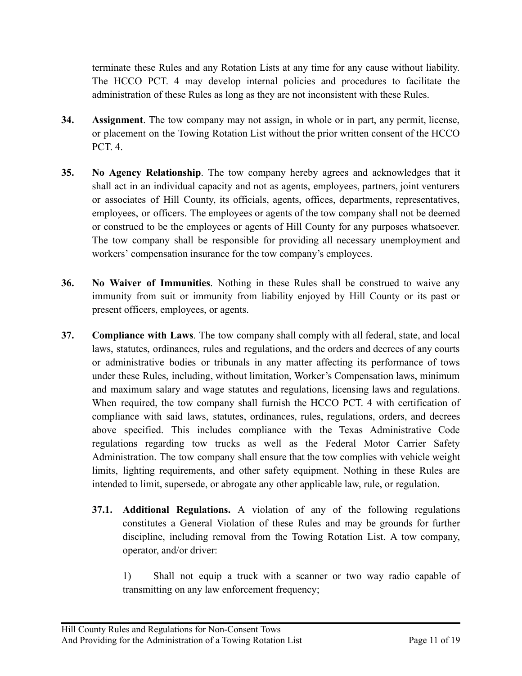terminate these Rules and any Rotation Lists at any time for any cause without liability. The HCCO PCT. 4 may develop internal policies and procedures to facilitate the administration of these Rules as long as they are not inconsistent with these Rules.

- **34. Assignment**. The tow company may not assign, in whole or in part, any permit, license, or placement on the Towing Rotation List without the prior written consent of the HCCO PCT. 4.
- **35. No Agency Relationship**. The tow company hereby agrees and acknowledges that it shall act in an individual capacity and not as agents, employees, partners, joint venturers or associates of Hill County, its officials, agents, offices, departments, representatives, employees, or officers. The employees or agents of the tow company shall not be deemed or construed to be the employees or agents of Hill County for any purposes whatsoever. The tow company shall be responsible for providing all necessary unemployment and workers' compensation insurance for the tow company's employees.
- **36. No Waiver of Immunities**. Nothing in these Rules shall be construed to waive any immunity from suit or immunity from liability enjoyed by Hill County or its past or present officers, employees, or agents.
- **37. Compliance with Laws**. The tow company shall comply with all federal, state, and local laws, statutes, ordinances, rules and regulations, and the orders and decrees of any courts or administrative bodies or tribunals in any matter affecting its performance of tows under these Rules, including, without limitation, Worker's Compensation laws, minimum and maximum salary and wage statutes and regulations, licensing laws and regulations. When required, the tow company shall furnish the HCCO PCT. 4 with certification of compliance with said laws, statutes, ordinances, rules, regulations, orders, and decrees above specified. This includes compliance with the Texas Administrative Code regulations regarding tow trucks as well as the Federal Motor Carrier Safety Administration. The tow company shall ensure that the tow complies with vehicle weight limits, lighting requirements, and other safety equipment. Nothing in these Rules are intended to limit, supersede, or abrogate any other applicable law, rule, or regulation.
	- **37.1. Additional Regulations.** A violation of any of the following regulations constitutes a General Violation of these Rules and may be grounds for further discipline, including removal from the Towing Rotation List. A tow company, operator, and/or driver:
		- 1) Shall not equip a truck with a scanner or two way radio capable of transmitting on any law enforcement frequency;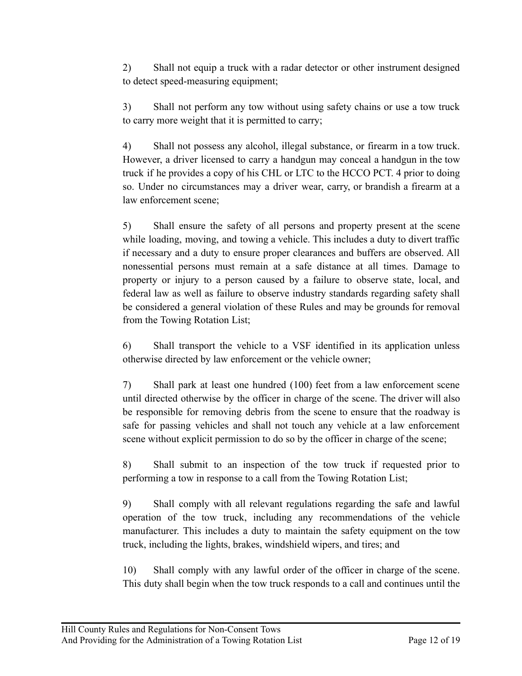2) Shall not equip a truck with a radar detector or other instrument designed to detect speed-measuring equipment;

3) Shall not perform any tow without using safety chains or use a tow truck to carry more weight that it is permitted to carry;

4) Shall not possess any alcohol, illegal substance, or firearm in a tow truck. However, a driver licensed to carry a handgun may conceal a handgun in the tow truck if he provides a copy of his CHL or LTC to the HCCO PCT. 4 prior to doing so. Under no circumstances may a driver wear, carry, or brandish a firearm at a law enforcement scene;

5) Shall ensure the safety of all persons and property present at the scene while loading, moving, and towing a vehicle. This includes a duty to divert traffic if necessary and a duty to ensure proper clearances and buffers are observed. All nonessential persons must remain at a safe distance at all times. Damage to property or injury to a person caused by a failure to observe state, local, and federal law as well as failure to observe industry standards regarding safety shall be considered a general violation of these Rules and may be grounds for removal from the Towing Rotation List;

6) Shall transport the vehicle to a VSF identified in its application unless otherwise directed by law enforcement or the vehicle owner;

7) Shall park at least one hundred (100) feet from a law enforcement scene until directed otherwise by the officer in charge of the scene. The driver will also be responsible for removing debris from the scene to ensure that the roadway is safe for passing vehicles and shall not touch any vehicle at a law enforcement scene without explicit permission to do so by the officer in charge of the scene;

8) Shall submit to an inspection of the tow truck if requested prior to performing a tow in response to a call from the Towing Rotation List;

9) Shall comply with all relevant regulations regarding the safe and lawful operation of the tow truck, including any recommendations of the vehicle manufacturer. This includes a duty to maintain the safety equipment on the tow truck, including the lights, brakes, windshield wipers, and tires; and

10) Shall comply with any lawful order of the officer in charge of the scene. This duty shall begin when the tow truck responds to a call and continues until the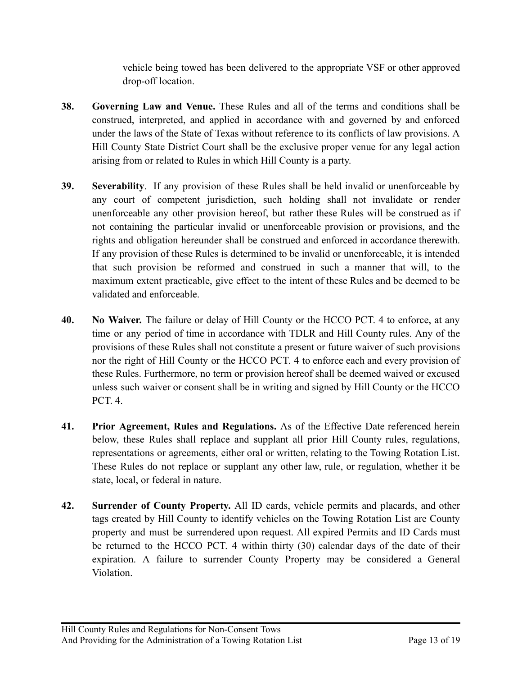vehicle being towed has been delivered to the appropriate VSF or other approved drop-off location.

- **38. Governing Law and Venue.** These Rules and all of the terms and conditions shall be construed, interpreted, and applied in accordance with and governed by and enforced under the laws of the State of Texas without reference to its conflicts of law provisions. A Hill County State District Court shall be the exclusive proper venue for any legal action arising from or related to Rules in which Hill County is a party.
- **39. Severability**. If any provision of these Rules shall be held invalid or unenforceable by any court of competent jurisdiction, such holding shall not invalidate or render unenforceable any other provision hereof, but rather these Rules will be construed as if not containing the particular invalid or unenforceable provision or provisions, and the rights and obligation hereunder shall be construed and enforced in accordance therewith. If any provision of these Rules is determined to be invalid or unenforceable, it is intended that such provision be reformed and construed in such a manner that will, to the maximum extent practicable, give effect to the intent of these Rules and be deemed to be validated and enforceable.
- **40. No Waiver.** The failure or delay of Hill County or the HCCO PCT. 4 to enforce, at any time or any period of time in accordance with TDLR and Hill County rules. Any of the provisions of these Rules shall not constitute a present or future waiver of such provisions nor the right of Hill County or the HCCO PCT. 4 to enforce each and every provision of these Rules. Furthermore, no term or provision hereof shall be deemed waived or excused unless such waiver or consent shall be in writing and signed by Hill County or the HCCO PCT. 4.
- **41. Prior Agreement, Rules and Regulations.** As of the Effective Date referenced herein below, these Rules shall replace and supplant all prior Hill County rules, regulations, representations or agreements, either oral or written, relating to the Towing Rotation List. These Rules do not replace or supplant any other law, rule, or regulation, whether it be state, local, or federal in nature.
- **42. Surrender of County Property.** All ID cards, vehicle permits and placards, and other tags created by Hill County to identify vehicles on the Towing Rotation List are County property and must be surrendered upon request. All expired Permits and ID Cards must be returned to the HCCO PCT. 4 within thirty (30) calendar days of the date of their expiration. A failure to surrender County Property may be considered a General Violation.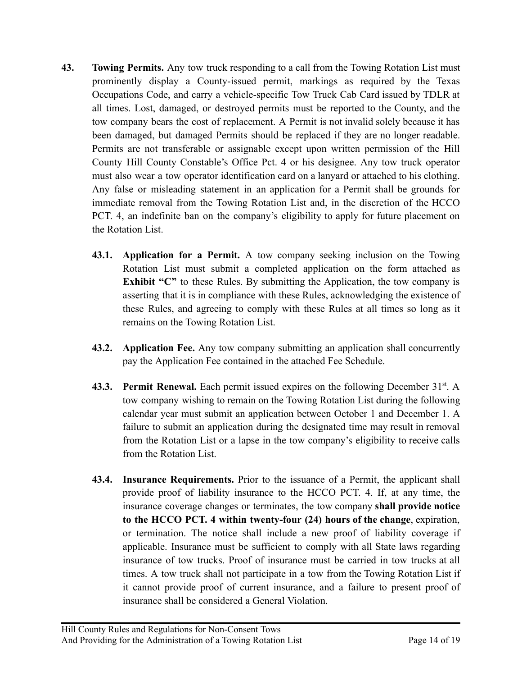- **43. Towing Permits.** Any tow truck responding to a call from the Towing Rotation List must prominently display a County-issued permit, markings as required by the Texas Occupations Code, and carry a vehicle-specific Tow Truck Cab Card issued by TDLR at all times. Lost, damaged, or destroyed permits must be reported to the County, and the tow company bears the cost of replacement. A Permit is not invalid solely because it has been damaged, but damaged Permits should be replaced if they are no longer readable. Permits are not transferable or assignable except upon written permission of the Hill County Hill County Constable's Office Pct. 4 or his designee. Any tow truck operator must also wear a tow operator identification card on a lanyard or attached to his clothing. Any false or misleading statement in an application for a Permit shall be grounds for immediate removal from the Towing Rotation List and, in the discretion of the HCCO PCT. 4, an indefinite ban on the company's eligibility to apply for future placement on the Rotation List.
	- **43.1. Application for a Permit.** A tow company seeking inclusion on the Towing Rotation List must submit a completed application on the form attached as **Exhibit "C"** to these Rules. By submitting the Application, the tow company is asserting that it is in compliance with these Rules, acknowledging the existence of these Rules, and agreeing to comply with these Rules at all times so long as it remains on the Towing Rotation List.
	- **43.2. Application Fee.** Any tow company submitting an application shall concurrently pay the Application Fee contained in the attached Fee Schedule.
	- 43.3. Permit Renewal. Each permit issued expires on the following December 31<sup>st</sup>. A tow company wishing to remain on the Towing Rotation List during the following calendar year must submit an application between October 1 and December 1. A failure to submit an application during the designated time may result in removal from the Rotation List or a lapse in the tow company's eligibility to receive calls from the Rotation List.
	- **43.4. Insurance Requirements.** Prior to the issuance of a Permit, the applicant shall provide proof of liability insurance to the HCCO PCT. 4. If, at any time, the insurance coverage changes or terminates, the tow company **shall provide notice to the HCCO PCT. 4 within twenty-four (24) hours of the change**, expiration, or termination. The notice shall include a new proof of liability coverage if applicable. Insurance must be sufficient to comply with all State laws regarding insurance of tow trucks. Proof of insurance must be carried in tow trucks at all times. A tow truck shall not participate in a tow from the Towing Rotation List if it cannot provide proof of current insurance, and a failure to present proof of insurance shall be considered a General Violation.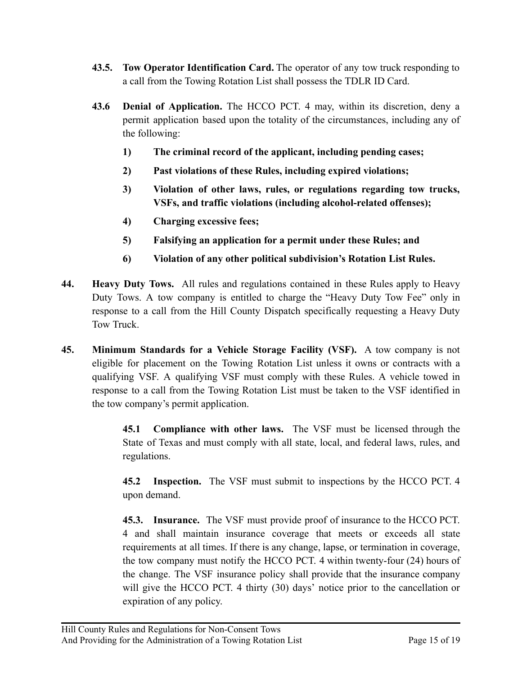- **43.5. Tow Operator Identification Card.** The operator of any tow truck responding to a call from the Towing Rotation List shall possess the TDLR ID Card.
- **43.6 Denial of Application.** The HCCO PCT. 4 may, within its discretion, deny a permit application based upon the totality of the circumstances, including any of the following:
	- **1) The criminal record of the applicant, including pending cases;**
	- **2) Past violations of these Rules, including expired violations;**
	- **3) Violation of other laws, rules, or regulations regarding tow trucks, VSFs, and traffic violations (including alcohol-related offenses);**
	- **4) Charging excessive fees;**
	- **5) Falsifying an application for a permit under these Rules; and**
	- **6) Violation of any other political subdivision's Rotation List Rules.**
- **44. Heavy Duty Tows.** All rules and regulations contained in these Rules apply to Heavy Duty Tows. A tow company is entitled to charge the "Heavy Duty Tow Fee" only in response to a call from the Hill County Dispatch specifically requesting a Heavy Duty Tow Truck.
- **45. Minimum Standards for a Vehicle Storage Facility (VSF).** A tow company is not eligible for placement on the Towing Rotation List unless it owns or contracts with a qualifying VSF. A qualifying VSF must comply with these Rules. A vehicle towed in response to a call from the Towing Rotation List must be taken to the VSF identified in the tow company's permit application.

**45.1 Compliance with other laws.** The VSF must be licensed through the State of Texas and must comply with all state, local, and federal laws, rules, and regulations.

**45.2 Inspection.** The VSF must submit to inspections by the HCCO PCT. 4 upon demand.

**45.3. Insurance.** The VSF must provide proof of insurance to the HCCO PCT. 4 and shall maintain insurance coverage that meets or exceeds all state requirements at all times. If there is any change, lapse, or termination in coverage, the tow company must notify the HCCO PCT. 4 within twenty-four (24) hours of the change. The VSF insurance policy shall provide that the insurance company will give the HCCO PCT. 4 thirty (30) days' notice prior to the cancellation or expiration of any policy.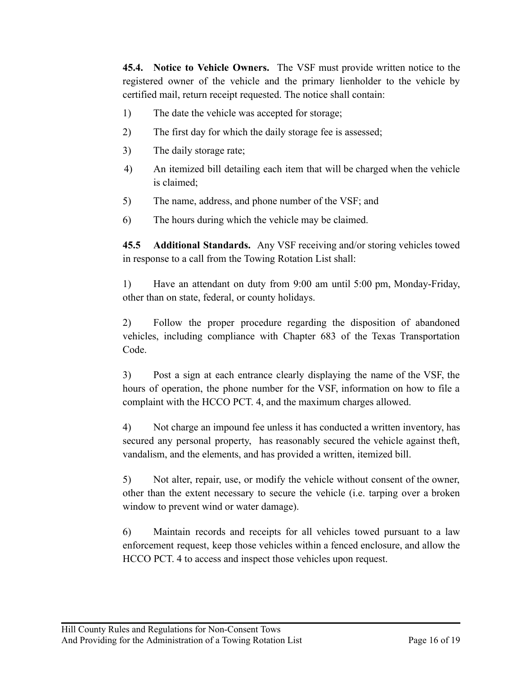**45.4. Notice to Vehicle Owners.** The VSF must provide written notice to the registered owner of the vehicle and the primary lienholder to the vehicle by certified mail, return receipt requested. The notice shall contain:

- 1) The date the vehicle was accepted for storage;
- 2) The first day for which the daily storage fee is assessed;
- 3) The daily storage rate;
- 4) An itemized bill detailing each item that will be charged when the vehicle is claimed;
- 5) The name, address, and phone number of the VSF; and
- 6) The hours during which the vehicle may be claimed.

**45.5 Additional Standards.** Any VSF receiving and/or storing vehicles towed in response to a call from the Towing Rotation List shall:

1) Have an attendant on duty from 9:00 am until 5:00 pm, Monday-Friday, other than on state, federal, or county holidays.

2) Follow the proper procedure regarding the disposition of abandoned vehicles, including compliance with Chapter 683 of the Texas Transportation Code.

3) Post a sign at each entrance clearly displaying the name of the VSF, the hours of operation, the phone number for the VSF, information on how to file a complaint with the HCCO PCT. 4, and the maximum charges allowed.

4) Not charge an impound fee unless it has conducted a written inventory, has secured any personal property, has reasonably secured the vehicle against theft, vandalism, and the elements, and has provided a written, itemized bill.

5) Not alter, repair, use, or modify the vehicle without consent of the owner, other than the extent necessary to secure the vehicle (i.e. tarping over a broken window to prevent wind or water damage).

6) Maintain records and receipts for all vehicles towed pursuant to a law enforcement request, keep those vehicles within a fenced enclosure, and allow the HCCO PCT. 4 to access and inspect those vehicles upon request.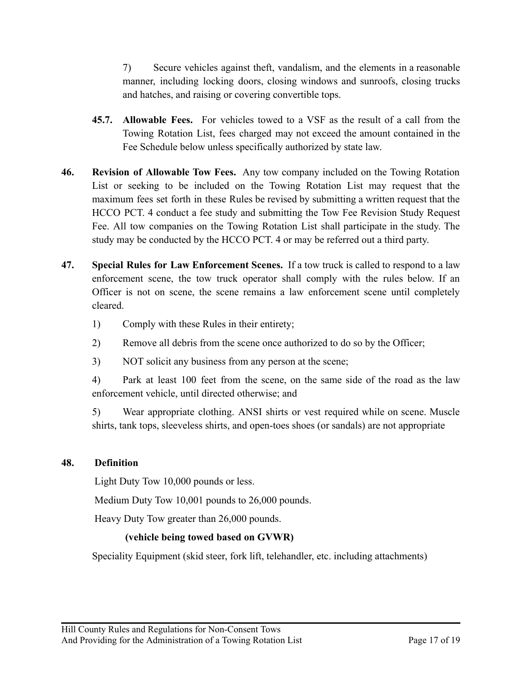7) Secure vehicles against theft, vandalism, and the elements in a reasonable manner, including locking doors, closing windows and sunroofs, closing trucks and hatches, and raising or covering convertible tops.

- **45.7. Allowable Fees.** For vehicles towed to a VSF as the result of a call from the Towing Rotation List, fees charged may not exceed the amount contained in the Fee Schedule below unless specifically authorized by state law.
- **46. Revision of Allowable Tow Fees.** Any tow company included on the Towing Rotation List or seeking to be included on the Towing Rotation List may request that the maximum fees set forth in these Rules be revised by submitting a written request that the HCCO PCT. 4 conduct a fee study and submitting the Tow Fee Revision Study Request Fee. All tow companies on the Towing Rotation List shall participate in the study. The study may be conducted by the HCCO PCT. 4 or may be referred out a third party.
- **47. Special Rules for Law Enforcement Scenes.** If a tow truck is called to respond to a law enforcement scene, the tow truck operator shall comply with the rules below. If an Officer is not on scene, the scene remains a law enforcement scene until completely cleared.
	- 1) Comply with these Rules in their entirety;
	- 2) Remove all debris from the scene once authorized to do so by the Officer;
	- 3) NOT solicit any business from any person at the scene;

4) Park at least 100 feet from the scene, on the same side of the road as the law enforcement vehicle, until directed otherwise; and

5) Wear appropriate clothing. ANSI shirts or vest required while on scene. Muscle shirts, tank tops, sleeveless shirts, and open-toes shoes (or sandals) are not appropriate

## **48. Definition**

Light Duty Tow 10,000 pounds or less.

Medium Duty Tow 10,001 pounds to 26,000 pounds.

Heavy Duty Tow greater than 26,000 pounds.

## **(vehicle being towed based on GVWR)**

Speciality Equipment (skid steer, fork lift, telehandler, etc. including attachments)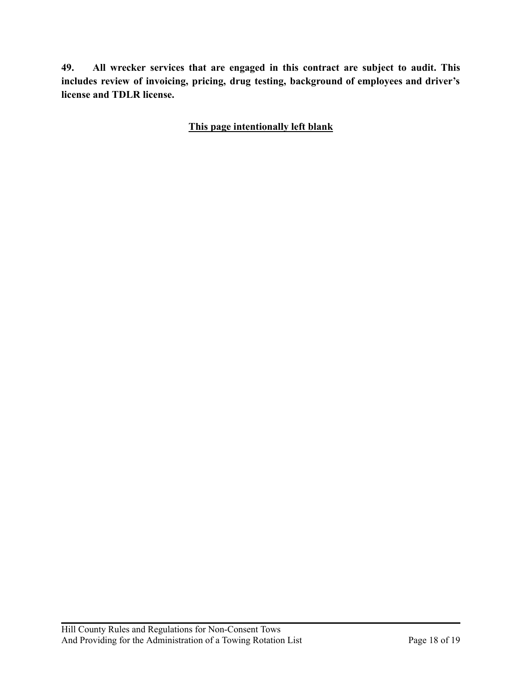**49. All wrecker services that are engaged in this contract are subject to audit. This includes review of invoicing, pricing, drug testing, background of employees and driver's license and TDLR license.**

**This page intentionally left blank**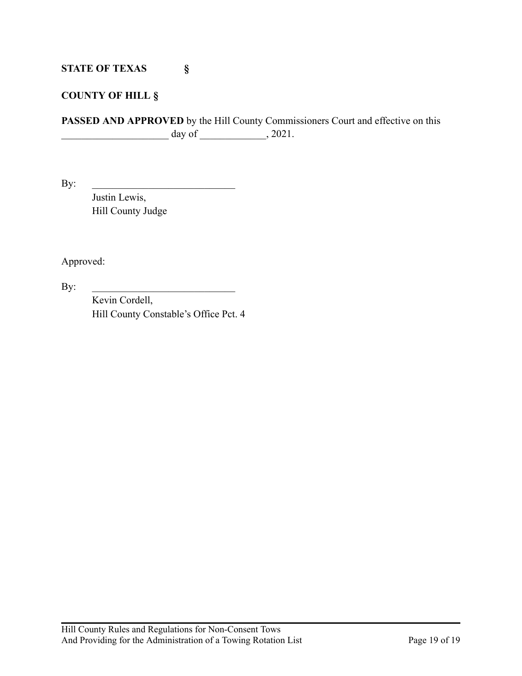## **STATE OF TEXAS §**

## **COUNTY OF HILL §**

**PASSED AND APPROVED** by the Hill County Commissioners Court and effective on this  $\frac{day \text{ of } }{x}$ , 2021.

 $\mathbf{By:}$ 

Justin Lewis, Hill County Judge

Approved:

 $\mathbf{By:}$ 

Kevin Cordell, Hill County Constable's Office Pct. 4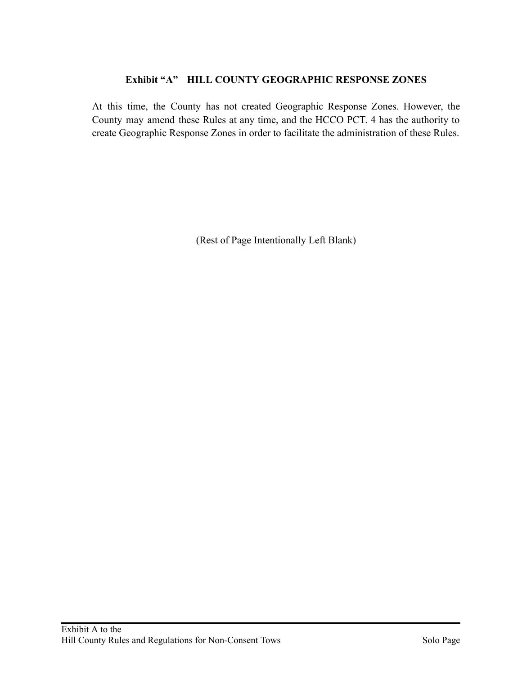## **Exhibit "A" HILL COUNTY GEOGRAPHIC RESPONSE ZONES**

At this time, the County has not created Geographic Response Zones. However, the County may amend these Rules at any time, and the HCCO PCT. 4 has the authority to create Geographic Response Zones in order to facilitate the administration of these Rules.

(Rest of Page Intentionally Left Blank)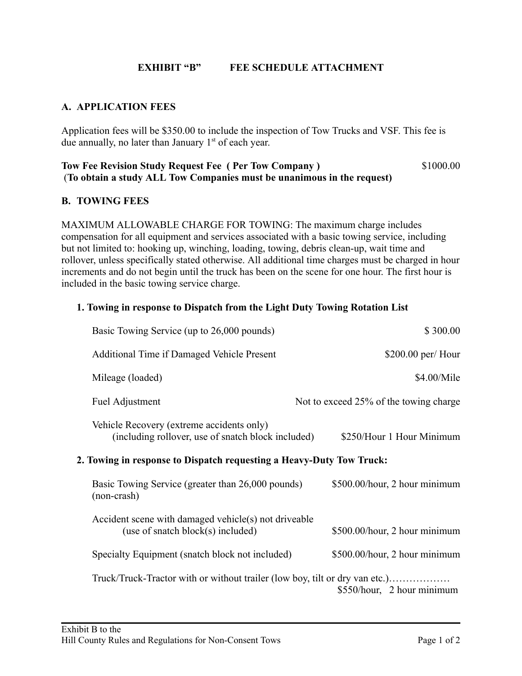## **EXHIBIT "B" FEE SCHEDULE ATTACHMENT**

## **A. APPLICATION FEES**

Application fees will be \$350.00 to include the inspection of Tow Trucks and VSF. This fee is due annually, no later than January  $1<sup>st</sup>$  of each year.

#### **Tow Fee Revision Study Request Fee ( Per Tow Company )** \$1000.00 (**To obtain a study ALL Tow Companies must be unanimous in the request)**

#### **B. TOWING FEES**

MAXIMUM ALLOWABLE CHARGE FOR TOWING: The maximum charge includes compensation for all equipment and services associated with a basic towing service, including but not limited to: hooking up, winching, loading, towing, debris clean-up, wait time and rollover, unless specifically stated otherwise. All additional time charges must be charged in hour increments and do not begin until the truck has been on the scene for one hour. The first hour is included in the basic towing service charge.

#### **1. Towing in response to Dispatch from the Light Duty Towing Rotation List**

| Basic Towing Service (up to 26,000 pounds)                                                      | \$300.00                               |  |
|-------------------------------------------------------------------------------------------------|----------------------------------------|--|
| Additional Time if Damaged Vehicle Present                                                      | $$200.00$ per/Hour                     |  |
| Mileage (loaded)                                                                                | \$4.00/Mile                            |  |
| Fuel Adjustment                                                                                 | Not to exceed 25% of the towing charge |  |
| Vehicle Recovery (extreme accidents only)<br>(including rollover, use of snatch block included) | \$250/Hour 1 Hour Minimum              |  |
| 2. Towing in response to Dispatch requesting a Heavy-Duty Tow Truck:                            |                                        |  |
| Basic Towing Service (greater than 26,000 pounds)<br>(non-crash)                                | \$500.00/hour, 2 hour minimum          |  |
| Accident scene with damaged vehicle(s) not driveable<br>(use of snatch block(s) included)       | \$500.00/hour, 2 hour minimum          |  |
| Specialty Equipment (snatch block not included)                                                 | \$500.00/hour, 2 hour minimum          |  |
| Truck/Truck-Tractor with or without trailer (low boy, tilt or dry van etc.)                     | \$550/hour, 2 hour minimum             |  |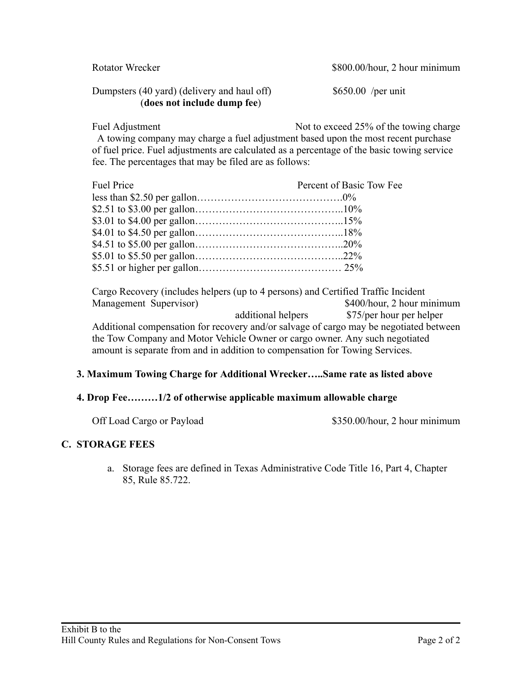| Rotator Wrecker                                                            | \$800.00/hour, 2 hour minimum |
|----------------------------------------------------------------------------|-------------------------------|
| Dumpsters (40 yard) (delivery and haul off)<br>(does not include dump fee) | $$650.00$ /per unit           |

Fuel Adjustment Not to exceed 25% of the towing charge A towing company may charge a fuel adjustment based upon the most recent purchase of fuel price. Fuel adjustments are calculated as a percentage of the basic towing service fee. The percentages that may be filed are as follows:

| <b>Fuel Price</b> | Percent of Basic Tow Fee |
|-------------------|--------------------------|
|                   |                          |
|                   |                          |
|                   |                          |
|                   |                          |
|                   |                          |
|                   |                          |
|                   |                          |

Cargo Recovery (includes helpers (up to 4 persons) and Certified Traffic Incident Management Supervisor)  $$400/hour, 2 hour minimum$ additional helpers \$75/per hour per helper Additional compensation for recovery and/or salvage of cargo may be negotiated between the Tow Company and Motor Vehicle Owner or cargo owner. Any such negotiated amount is separate from and in addition to compensation for Towing Services.

## **3. Maximum Towing Charge for Additional Wrecker…..Same rate as listed above**

## **4. Drop Fee………1/2 of otherwise applicable maximum allowable charge**

Off Load Cargo or Payload \$350.00/hour, 2 hour minimum

## **C. STORAGE FEES**

a. Storage fees are defined in Texas Administrative Code Title 16, Part 4, Chapter 85, Rule 85.722.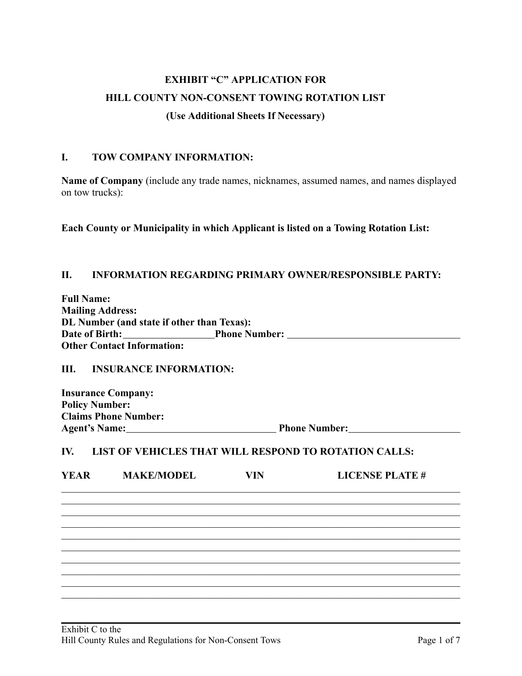# **EXHIBIT "C" APPLICATION FOR HILL COUNTY NON-CONSENT TOWING ROTATION LIST (Use Additional Sheets If Necessary)**

#### **I. TOW COMPANY INFORMATION:**

**Name of Company** (include any trade names, nicknames, assumed names, and names displayed on tow trucks):

**Each County or Municipality in which Applicant is listed on a Towing Rotation List:**

#### **II. INFORMATION REGARDING PRIMARY OWNER/RESPONSIBLE PARTY:**

| <b>Full Name:</b>                          |                      |
|--------------------------------------------|----------------------|
| <b>Mailing Address:</b>                    |                      |
| DL Number (and state if other than Texas): |                      |
| Date of Birth:                             | <b>Phone Number:</b> |
| <b>Other Contact Information:</b>          |                      |

#### **III. INSURANCE INFORMATION:**

**Insurance Company: Policy Number: Claims Phone Number: Agent's Name: Phone Number:**

## **IV. LIST OF VEHICLES THAT WILL RESPOND TO ROTATION CALLS:**

| <b>YEAR</b> | <b>MAKE/MODEL</b> | VIN | <b>LICENSE PLATE #</b> |
|-------------|-------------------|-----|------------------------|
|             |                   |     |                        |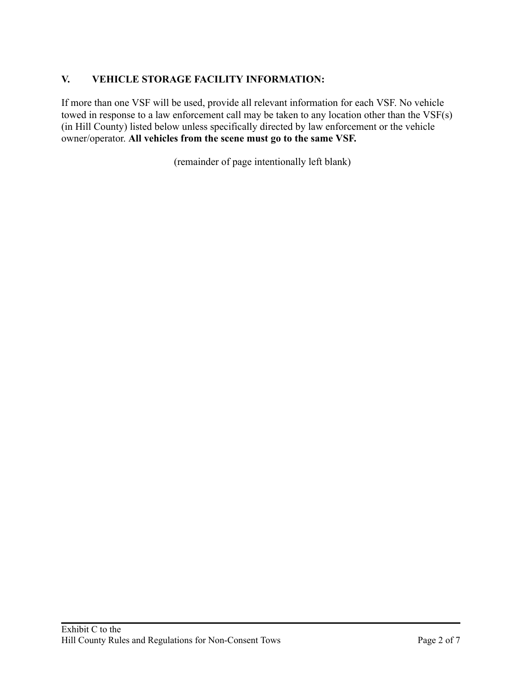## **V. VEHICLE STORAGE FACILITY INFORMATION:**

If more than one VSF will be used, provide all relevant information for each VSF. No vehicle towed in response to a law enforcement call may be taken to any location other than the VSF(s) (in Hill County) listed below unless specifically directed by law enforcement or the vehicle owner/operator. **All vehicles from the scene must go to the same VSF.**

(remainder of page intentionally left blank)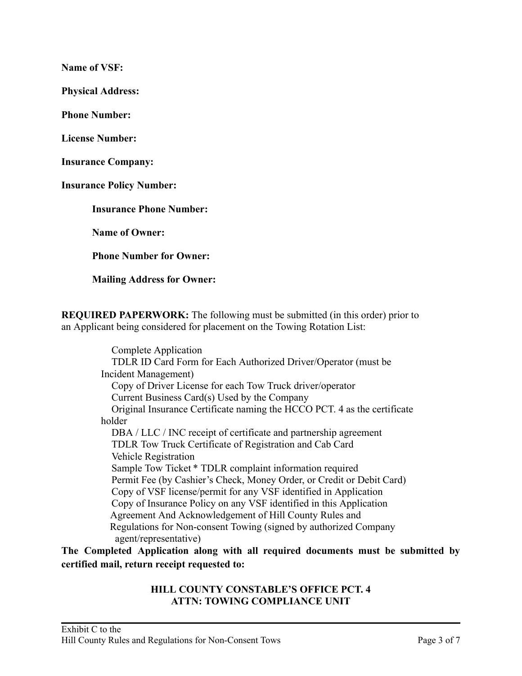**Name of VSF:**

**Physical Address:**

**Phone Number:**

**License Number:**

**Insurance Company:**

**Insurance Policy Number:**

**Insurance Phone Number:**

**Name of Owner:**

**Phone Number for Owner:**

**Mailing Address for Owner:**

**REQUIRED PAPERWORK:** The following must be submitted (in this order) prior to an Applicant being considered for placement on the Towing Rotation List:

> Complete Application TDLR ID Card Form for Each Authorized Driver/Operator (must be Incident Management) Copy of Driver License for each Tow Truck driver/operator Current Business Card(s) Used by the Company Original Insurance Certificate naming the HCCO PCT. 4 as the certificate holder DBA / LLC / INC receipt of certificate and partnership agreement TDLR Tow Truck Certificate of Registration and Cab Card Vehicle Registration Sample Tow Ticket \* TDLR complaint information required Permit Fee (by Cashier's Check, Money Order, or Credit or Debit Card) Copy of VSF license/permit for any VSF identified in Application Copy of Insurance Policy on any VSF identified in this Application Agreement And Acknowledgement of Hill County Rules and Regulations for Non-consent Towing (signed by authorized Company agent/representative)

**The Completed Application along with all required documents must be submitted by certified mail, return receipt requested to:**

#### **HILL COUNTY CONSTABLE'S OFFICE PCT. 4 ATTN: TOWING COMPLIANCE UNIT**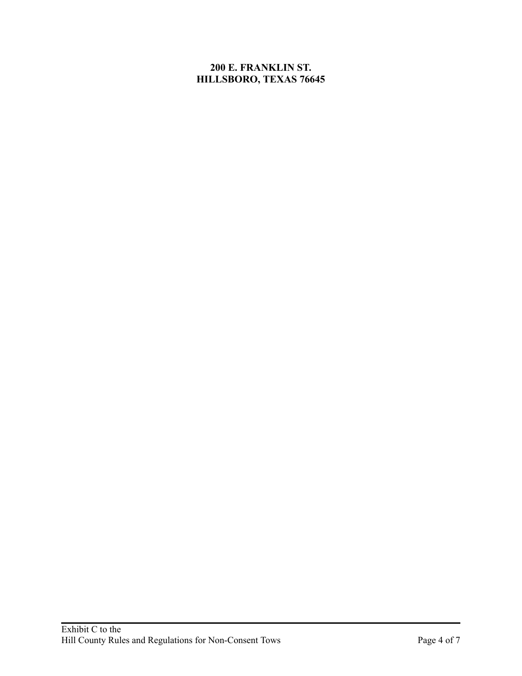## **200 E. FRANKLIN ST. HILLSBORO, TEXAS 76645**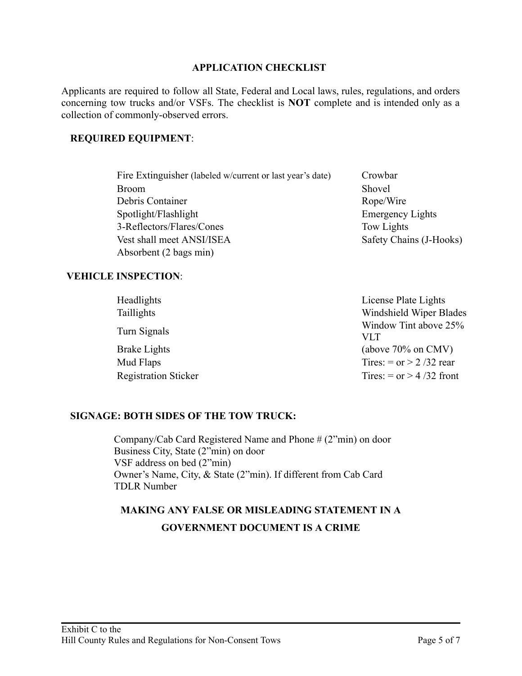#### **APPLICATION CHECKLIST**

Applicants are required to follow all State, Federal and Local laws, rules, regulations, and orders concerning tow trucks and/or VSFs. The checklist is **NOT** complete and is intended only as a collection of commonly-observed errors.

#### **REQUIRED EQUIPMENT**:

| Fire Extinguisher (labeled w/current or last year's date) | Crowbar                 |
|-----------------------------------------------------------|-------------------------|
| <b>Broom</b>                                              | Shovel                  |
| Debris Container                                          | Rope/Wire               |
| Spotlight/Flashlight                                      | <b>Emergency Lights</b> |
| 3-Reflectors/Flares/Cones                                 | Tow Lights              |
| Vest shall meet ANSI/ISEA                                 | Safety Chains (J-Hooks) |
| Absorbent (2 bags min)                                    |                         |

#### **VEHICLE INSPECTION**:

| Headlights                  | License Plate Lights         |
|-----------------------------|------------------------------|
| Taillights                  | Windshield Wiper Blades      |
| Turn Signals                | Window Tint above 25%<br>VLT |
| Brake Lights                | (above $70\%$ on CMV)        |
| Mud Flaps                   | Tires: = or > 2/32 rear      |
| <b>Registration Sticker</b> | Tires: = $or$ > 4/32 front   |

#### **SIGNAGE: BOTH SIDES OF THE TOW TRUCK:**

 Company/Cab Card Registered Name and Phone # (2"min) on door Business City, State (2"min) on door VSF address on bed (2"min) Owner's Name, City, & State (2"min). If different from Cab Card TDLR Number

## **MAKING ANY FALSE OR MISLEADING STATEMENT IN A GOVERNMENT DOCUMENT IS A CRIME**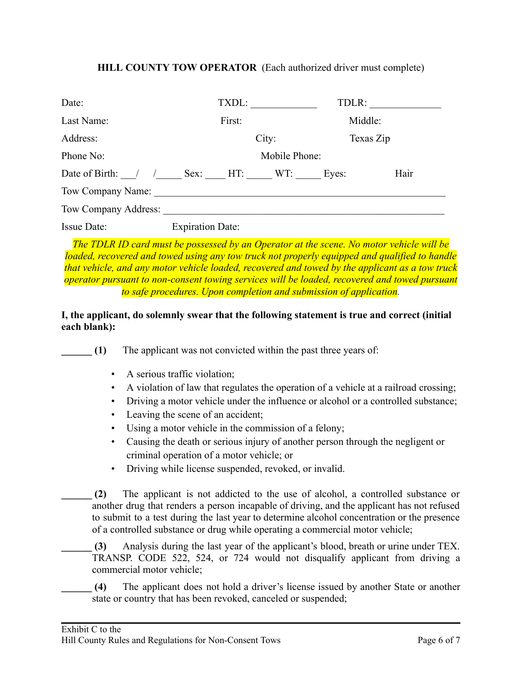#### **HILL COUNTY TOW OPERATOR** (Each authorized driver must complete)

| Date:                | TXDL:                   |  | TDLR:   |           |
|----------------------|-------------------------|--|---------|-----------|
| Last Name:           | First:                  |  | Middle: |           |
| Address:             | City:                   |  |         | Texas Zip |
| Phone No:            | Mobile Phone:           |  |         |           |
| Date of Birth: /     | Sex: HT: WT:            |  | Eyes:   | Hair      |
| Tow Company Name:    |                         |  |         |           |
| Tow Company Address: |                         |  |         |           |
| <b>Issue Date:</b>   | <b>Expiration Date:</b> |  |         |           |

*The TDLR ID card must be possessed by an Operator at the scene. No motor vehicle will be loaded, recovered and towed using any tow truck not properly equipped and qualified to handle that vehicle, and any motor vehicle loaded, recovered and towed by the applicant as a tow truck operator pursuant to non-consent towing services will be loaded, recovered and towed pursuant to safe procedures. Upon completion and submission of application.*

## **I, the applicant, do solemnly swear that the following statement is true and correct (initial each blank):**

**(1)** The applicant was not convicted within the past three years of:

- A serious traffic violation;
- A violation of law that regulates the operation of a vehicle at a railroad crossing;
- Driving a motor vehicle under the influence or alcohol or a controlled substance;
- Leaving the scene of an accident;
- Using a motor vehicle in the commission of a felony;
- Causing the death or serious injury of another person through the negligent or criminal operation of a motor vehicle; or
- Driving while license suspended, revoked, or invalid.

**\_\_\_\_\_\_ (2)** The applicant is not addicted to the use of alcohol, a controlled substance or another drug that renders a person incapable of driving, and the applicant has not refused to submit to a test during the last year to determine alcohol concentration or the presence of a controlled substance or drug while operating a commercial motor vehicle;

**\_\_\_\_\_\_ (3)** Analysis during the last year of the applicant's blood, breath or urine under TEX. TRANSP. CODE 522, 524, or 724 would not disqualify applicant from driving a commercial motor vehicle;

**\_\_\_\_\_\_ (4)** The applicant does not hold a driver's license issued by another State or another state or country that has been revoked, canceled or suspended;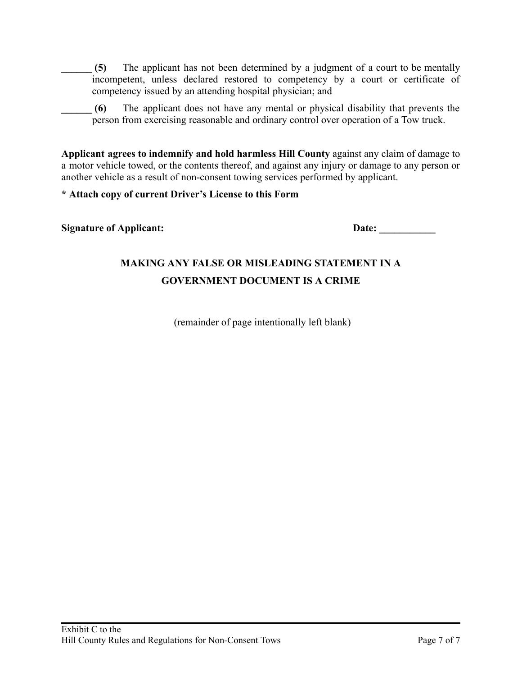**(5)** The applicant has not been determined by a judgment of a court to be mentally incompetent, unless declared restored to competency by a court or certificate of competency issued by an attending hospital physician; and

**\_\_\_\_\_\_ (6)** The applicant does not have any mental or physical disability that prevents the person from exercising reasonable and ordinary control over operation of a Tow truck.

**Applicant agrees to indemnify and hold harmless Hill County** against any claim of damage to a motor vehicle towed, or the contents thereof, and against any injury or damage to any person or another vehicle as a result of non-consent towing services performed by applicant.

#### **\* Attach copy of current Driver's License to this Form**

#### **Signature of Applicant: Date: Date:**

# **MAKING ANY FALSE OR MISLEADING STATEMENT IN A GOVERNMENT DOCUMENT IS A CRIME**

(remainder of page intentionally left blank)